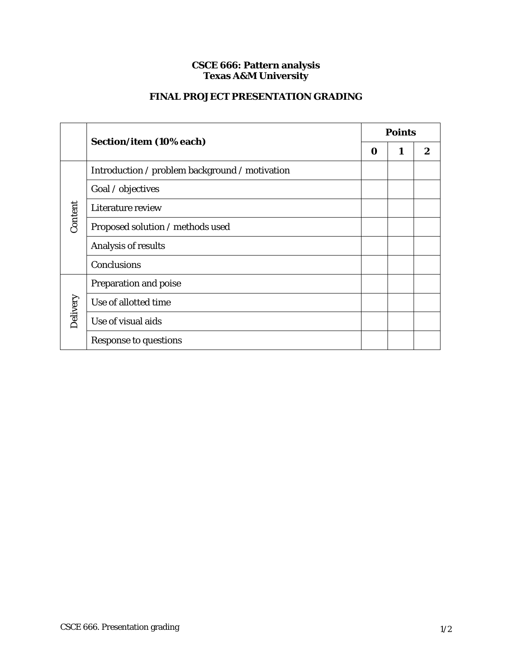## **CSCE 666: Pattern analysis Texas A&M University**

## **FINAL PROJECT PRESENTATION GRADING**

|          | Section/item (10% each)                        | <b>Points</b> |   |   |
|----------|------------------------------------------------|---------------|---|---|
|          |                                                | 0             | 1 | 2 |
| Content  | Introduction / problem background / motivation |               |   |   |
|          | Goal / objectives                              |               |   |   |
|          | Literature review                              |               |   |   |
|          | Proposed solution / methods used               |               |   |   |
|          | Analysis of results                            |               |   |   |
|          | Conclusions                                    |               |   |   |
| Delivery | Preparation and poise                          |               |   |   |
|          | Use of allotted time                           |               |   |   |
|          | Use of visual aids                             |               |   |   |
|          | <b>Response to questions</b>                   |               |   |   |